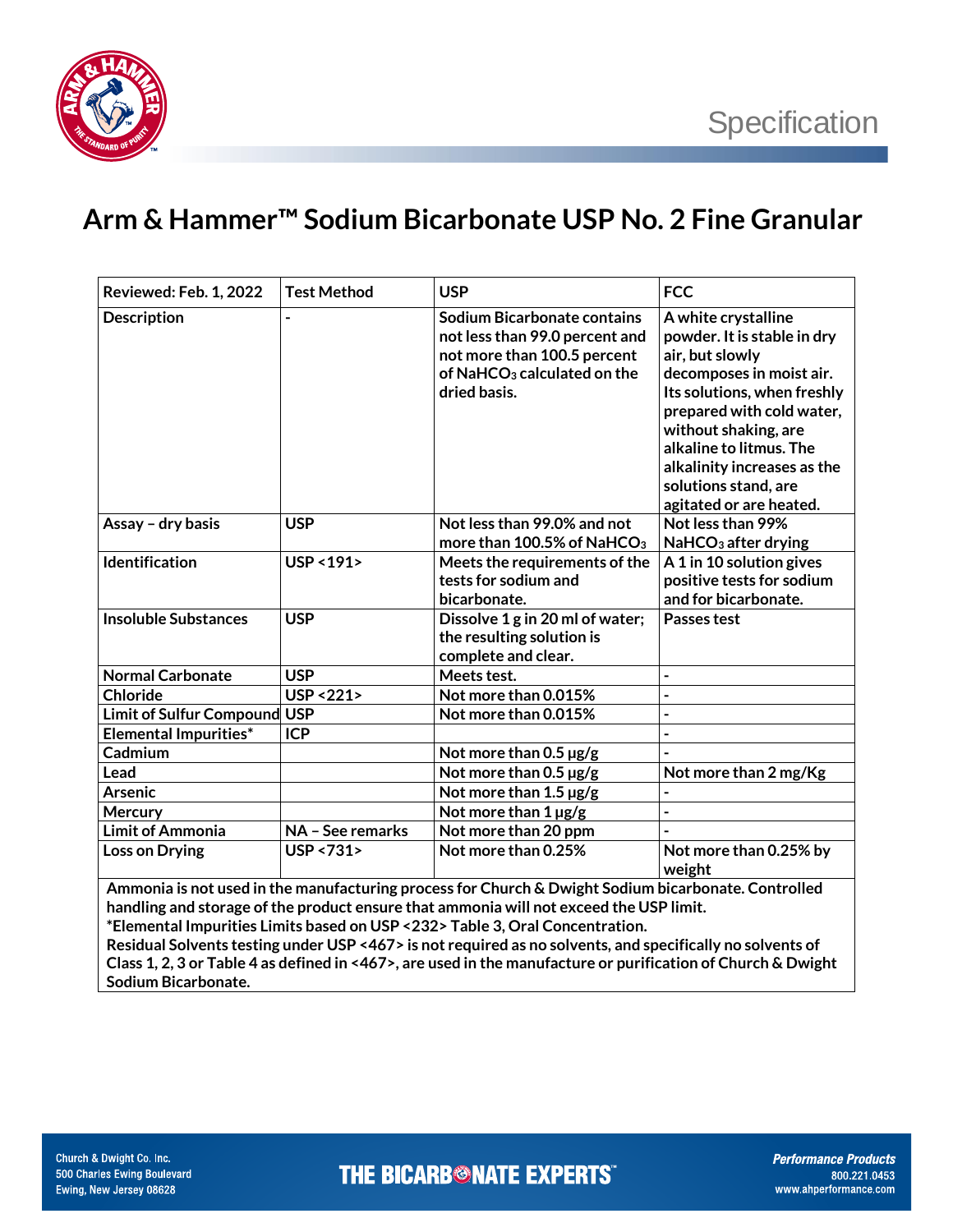

## **Arm & Hammer™ Sodium Bicarbonate USP No. 2 Fine Granular**

| Reviewed: Feb. 1, 2022                                                                                                                                                                                                                                                                                                                                                                     | <b>Test Method</b>     | <b>USP</b>                                                                                                                                             | <b>FCC</b>                                                                                                                                                                                                                                                                                         |  |
|--------------------------------------------------------------------------------------------------------------------------------------------------------------------------------------------------------------------------------------------------------------------------------------------------------------------------------------------------------------------------------------------|------------------------|--------------------------------------------------------------------------------------------------------------------------------------------------------|----------------------------------------------------------------------------------------------------------------------------------------------------------------------------------------------------------------------------------------------------------------------------------------------------|--|
| <b>Description</b>                                                                                                                                                                                                                                                                                                                                                                         |                        | <b>Sodium Bicarbonate contains</b><br>not less than 99.0 percent and<br>not more than 100.5 percent<br>of NaHC $O_3$ calculated on the<br>dried basis. | A white crystalline<br>powder. It is stable in dry<br>air, but slowly<br>decomposes in moist air.<br>Its solutions, when freshly<br>prepared with cold water,<br>without shaking, are<br>alkaline to litmus. The<br>alkalinity increases as the<br>solutions stand, are<br>agitated or are heated. |  |
| Assay - dry basis                                                                                                                                                                                                                                                                                                                                                                          | <b>USP</b>             | Not less than 99.0% and not                                                                                                                            | Not less than 99%                                                                                                                                                                                                                                                                                  |  |
|                                                                                                                                                                                                                                                                                                                                                                                            |                        | more than 100.5% of NaHCO <sub>3</sub>                                                                                                                 | NaHCO <sub>3</sub> after drying                                                                                                                                                                                                                                                                    |  |
| Identification                                                                                                                                                                                                                                                                                                                                                                             | USP < 191>             | Meets the requirements of the<br>tests for sodium and<br>bicarbonate.                                                                                  | A 1 in 10 solution gives<br>positive tests for sodium<br>and for bicarbonate.                                                                                                                                                                                                                      |  |
| <b>Insoluble Substances</b>                                                                                                                                                                                                                                                                                                                                                                | <b>USP</b>             | Dissolve 1 g in 20 ml of water;<br>the resulting solution is<br>complete and clear.                                                                    | Passes test                                                                                                                                                                                                                                                                                        |  |
| <b>Normal Carbonate</b>                                                                                                                                                                                                                                                                                                                                                                    | <b>USP</b>             | Meets test.                                                                                                                                            | $\blacksquare$                                                                                                                                                                                                                                                                                     |  |
| <b>Chloride</b>                                                                                                                                                                                                                                                                                                                                                                            | <b>USP &lt;221&gt;</b> | Not more than 0.015%                                                                                                                                   | $\overline{a}$                                                                                                                                                                                                                                                                                     |  |
| <b>Limit of Sulfur Compound</b>                                                                                                                                                                                                                                                                                                                                                            | <b>USP</b>             | Not more than 0.015%                                                                                                                                   | $\overline{a}$                                                                                                                                                                                                                                                                                     |  |
| <b>Elemental Impurities*</b>                                                                                                                                                                                                                                                                                                                                                               | <b>ICP</b>             |                                                                                                                                                        | $\overline{\phantom{a}}$                                                                                                                                                                                                                                                                           |  |
| Cadmium                                                                                                                                                                                                                                                                                                                                                                                    |                        | Not more than $0.5 \,\mu g/g$                                                                                                                          |                                                                                                                                                                                                                                                                                                    |  |
| Lead                                                                                                                                                                                                                                                                                                                                                                                       |                        | Not more than 0.5 µg/g                                                                                                                                 | Not more than 2 mg/Kg                                                                                                                                                                                                                                                                              |  |
| <b>Arsenic</b>                                                                                                                                                                                                                                                                                                                                                                             |                        | Not more than $1.5 \,\mathrm{\mu g/g}$                                                                                                                 |                                                                                                                                                                                                                                                                                                    |  |
| Mercury                                                                                                                                                                                                                                                                                                                                                                                    |                        | Not more than 1 µg/g                                                                                                                                   | $\overline{a}$                                                                                                                                                                                                                                                                                     |  |
| <b>Limit of Ammonia</b>                                                                                                                                                                                                                                                                                                                                                                    | NA - See remarks       | Not more than 20 ppm                                                                                                                                   |                                                                                                                                                                                                                                                                                                    |  |
| <b>Loss on Drying</b>                                                                                                                                                                                                                                                                                                                                                                      | USP <731>              | Not more than 0.25%                                                                                                                                    | Not more than 0.25% by<br>weight                                                                                                                                                                                                                                                                   |  |
| Ammonia is not used in the manufacturing process for Church & Dwight Sodium bicarbonate. Controlled<br>handling and storage of the product ensure that ammonia will not exceed the USP limit.<br>*Elemental Impurities Limits based on USP <232> Table 3, Oral Concentration.<br>Residual Solvents testing under USP <467> is not required as no solvents, and specifically no solvents of |                        |                                                                                                                                                        |                                                                                                                                                                                                                                                                                                    |  |

**Class 1, 2, 3 or Table 4 as defined in <467>, are used in the manufacture or purification of Church & Dwight Sodium Bicarbonate.**

**THE BICARB<sup>®</sup>NATE EXPERTS**